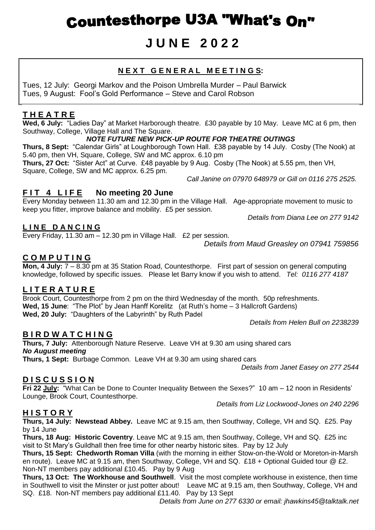# **Countesthorpe U3A "What's On"**

## **J U N E 2 0 2 2**

## **N E X T G E N E R A L M E E T I N G S:**

Tues, 12 July: Georgi Markov and the Poison Umbrella Murder – Paul Barwick Tues, 9 August: Fool's Gold Performance – Steve and Carol Robson

## **T H E A T R E**

**Wed, 6 July:** "Ladies Day" at Market Harborough theatre. £30 payable by 10 May. Leave MC at 6 pm, then Southway, College, Village Hall and The Square.

#### *NOTE FUTURE NEW PICK-UP ROUTE FOR THEATRE OUTINGS*

**Thurs, 8 Sept:** "Calendar Girls" at Loughborough Town Hall. £38 payable by 14 July. Cosby (The Nook) at 5.40 pm, then VH, Square, College, SW and MC approx. 6.10 pm

**Thurs, 27 Oct:** "Sister Act" at Curve. £48 payable by 9 Aug. Cosby (The Nook) at 5.55 pm, then VH, Square, College, SW and MC approx. 6.25 pm.

*Call Janine on 07970 648979 or Gill on 0116 275 2525.*

## FIT 4 LIFE No meeting 20 June

Every Monday between 11.30 am and 12.30 pm in the Village Hall. Age-appropriate movement to music to keep you fitter, improve balance and mobility. £5 per session.

*Details from Diana Lee on 277 9142*

#### **L I N E D A N C I N G**

Every Friday, 11.30 am – 12.30 pm in Village Hall. £2 per session.

*Details from Maud Greasley on 07941 759856*

## **C O M P U T I N G**

**Mon, 4 July:** 7 – 8.30 pm at 35 Station Road, Countesthorpe. First part of session on general computing knowledge, followed by specific issues. Please let Barry know if you wish to attend. *Tel: 0116 277 4187*

## **L I T E R A T U R E**

Brook Court, Countesthorpe from 2 pm on the third Wednesday of the month. 50p refreshments. **Wed, 15 June**: "The Plot" by Jean Hanff Korelitz (at Ruth's home – 3 Hallcroft Gardens) **Wed, 20 July:** "Daughters of the Labyrinth" by Ruth Padel

*Details from Helen Bull on 2238239*

## **B I R D W A T C H I N G**

**Thurs, 7 July:** Attenborough Nature Reserve. Leave VH at 9.30 am using shared cars *No August meeting* **Thurs, 1 Sept:** Burbage Common. Leave VH at 9.30 am using shared cars

*Details from Janet Easey on 277 2544*

## **D I S C U S S I O N**

**Fri 22 July:** "What Can be Done to Counter Inequality Between the Sexes?" 10 am – 12 noon in Residents' Lounge, Brook Court, Countesthorpe.

*Details from Liz Lockwood-Jones on 240 2296*

## **H I S T O R Y**

**Thurs, 14 July: Newstead Abbey.** Leave MC at 9.15 am, then Southway, College, VH and SQ. £25. Pay by 14 June

**Thurs, 18 Aug: Historic Coventry**. Leave MC at 9.15 am, then Southway, College, VH and SQ. £25 inc visit to St Mary's Guildhall then free time for other nearby historic sites. Pay by 12 July

**Thurs, 15 Sept: Chedworth Roman Villa** (with the morning in either Stow-on-the-Wold or Moreton-in-Marsh en route). Leave MC at 9.15 am, then Southway, College, VH and SQ. £18 + Optional Guided tour @ £2. Non-NT members pay additional £10.45. Pay by 9 Aug

**Thurs, 13 Oct: The Workhouse and Southwell**. Visit the most complete workhouse in existence, then time in Southwell to visit the Minster or just potter about! Leave MC at 9.15 am, then Southway, College, VH and SQ. £18. Non-NT members pay additional £11.40. Pay by 13 Sept

*Details from June on 277 6330 or email: jhawkins45@talktalk.net*